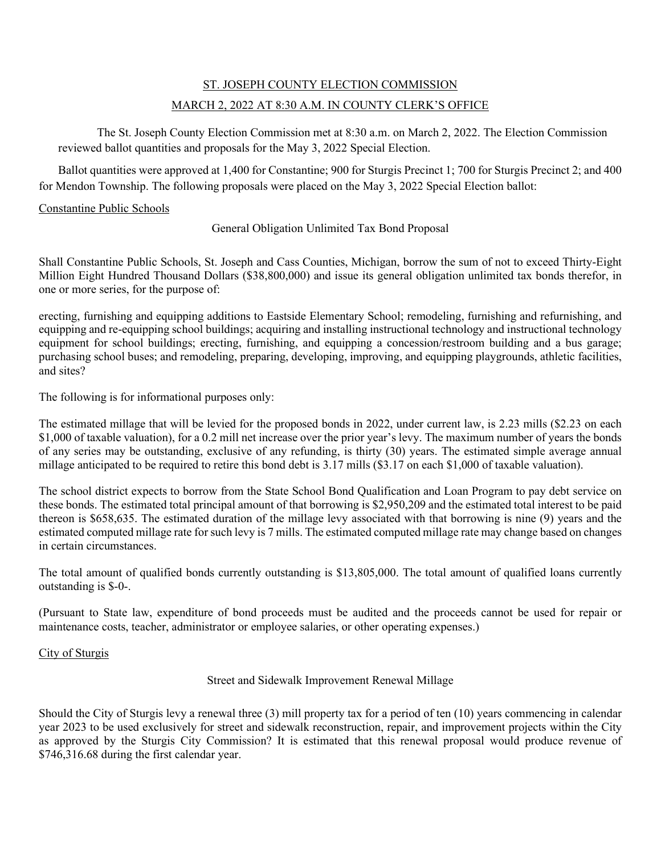# ST. JOSEPH COUNTY ELECTION COMMISSION MARCH 2, 2022 AT 8:30 A.M. IN COUNTY CLERK'S OFFICE

The St. Joseph County Election Commission met at 8:30 a.m. on March 2, 2022. The Election Commission reviewed ballot quantities and proposals for the May 3, 2022 Special Election.

Ballot quantities were approved at 1,400 for Constantine; 900 for Sturgis Precinct 1; 700 for Sturgis Precinct 2; and 400 for Mendon Township. The following proposals were placed on the May 3, 2022 Special Election ballot:

#### Constantine Public Schools

General Obligation Unlimited Tax Bond Proposal

Shall Constantine Public Schools, St. Joseph and Cass Counties, Michigan, borrow the sum of not to exceed Thirty-Eight Million Eight Hundred Thousand Dollars (\$38,800,000) and issue its general obligation unlimited tax bonds therefor, in one or more series, for the purpose of:

erecting, furnishing and equipping additions to Eastside Elementary School; remodeling, furnishing and refurnishing, and equipping and re-equipping school buildings; acquiring and installing instructional technology and instructional technology equipment for school buildings; erecting, furnishing, and equipping a concession/restroom building and a bus garage; purchasing school buses; and remodeling, preparing, developing, improving, and equipping playgrounds, athletic facilities, and sites?

The following is for informational purposes only:

The estimated millage that will be levied for the proposed bonds in 2022, under current law, is 2.23 mills (\$2.23 on each \$1,000 of taxable valuation), for a 0.2 mill net increase over the prior year's levy. The maximum number of years the bonds of any series may be outstanding, exclusive of any refunding, is thirty (30) years. The estimated simple average annual millage anticipated to be required to retire this bond debt is 3.17 mills (\$3.17 on each \$1,000 of taxable valuation).

The school district expects to borrow from the State School Bond Qualification and Loan Program to pay debt service on these bonds. The estimated total principal amount of that borrowing is \$2,950,209 and the estimated total interest to be paid thereon is \$658,635. The estimated duration of the millage levy associated with that borrowing is nine (9) years and the estimated computed millage rate for such levy is 7 mills. The estimated computed millage rate may change based on changes in certain circumstances.

The total amount of qualified bonds currently outstanding is \$13,805,000. The total amount of qualified loans currently outstanding is \$-0-.

(Pursuant to State law, expenditure of bond proceeds must be audited and the proceeds cannot be used for repair or maintenance costs, teacher, administrator or employee salaries, or other operating expenses.)

#### City of Sturgis

### Street and Sidewalk Improvement Renewal Millage

Should the City of Sturgis levy a renewal three (3) mill property tax for a period of ten (10) years commencing in calendar year 2023 to be used exclusively for street and sidewalk reconstruction, repair, and improvement projects within the City as approved by the Sturgis City Commission? It is estimated that this renewal proposal would produce revenue of \$746,316.68 during the first calendar year.